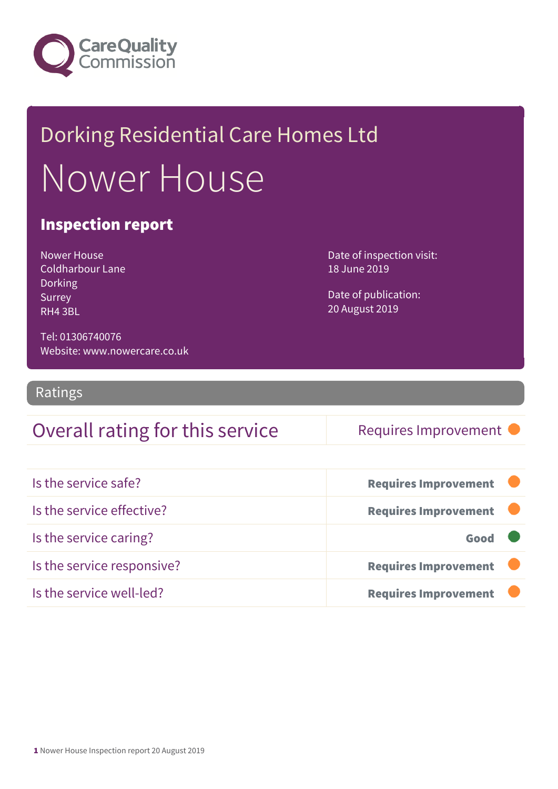

## Dorking Residential Care Homes Ltd Nower House

#### Inspection report

Nower House Coldharbour Lane **Dorking** Surrey RH4 3BL

Date of inspection visit: 18 June 2019

Date of publication: 20 August 2019

Tel: 01306740076 Website: www.nowercare.co.uk

Ratings

#### Overall rating for this service Requires Improvement

| Is the service safe?       | <b>Requires Improvement</b> |
|----------------------------|-----------------------------|
| Is the service effective?  | <b>Requires Improvement</b> |
| Is the service caring?     | Good                        |
| Is the service responsive? | <b>Requires Improvement</b> |
| Is the service well-led?   | <b>Requires Improvement</b> |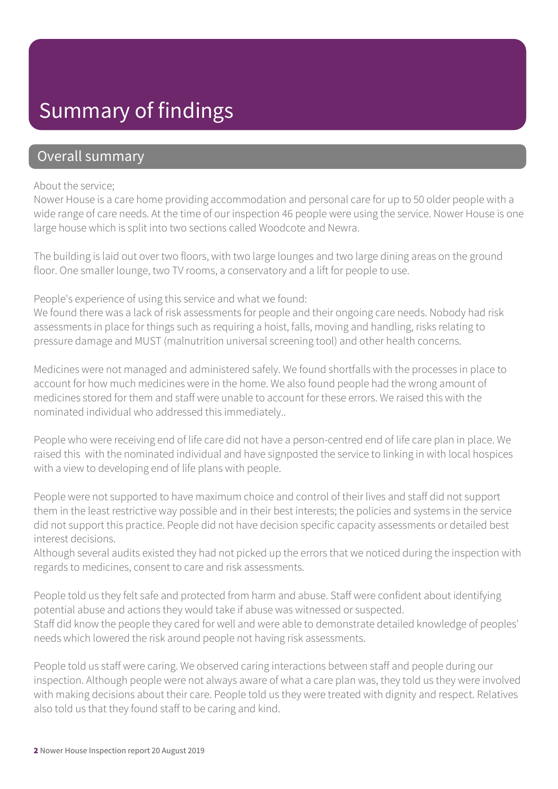### Summary of findings

#### Overall summary

#### About the service;

Nower House is a care home providing accommodation and personal care for up to 50 older people with a wide range of care needs. At the time of our inspection 46 people were using the service. Nower House is one large house which is split into two sections called Woodcote and Newra.

The building is laid out over two floors, with two large lounges and two large dining areas on the ground floor. One smaller lounge, two TV rooms, a conservatory and a lift for people to use.

People's experience of using this service and what we found:

We found there was a lack of risk assessments for people and their ongoing care needs. Nobody had risk assessments in place for things such as requiring a hoist, falls, moving and handling, risks relating to pressure damage and MUST (malnutrition universal screening tool) and other health concerns.

Medicines were not managed and administered safely. We found shortfalls with the processes in place to account for how much medicines were in the home. We also found people had the wrong amount of medicines stored for them and staff were unable to account for these errors. We raised this with the nominated individual who addressed this immediately..

People who were receiving end of life care did not have a person-centred end of life care plan in place. We raised this with the nominated individual and have signposted the service to linking in with local hospices with a view to developing end of life plans with people.

People were not supported to have maximum choice and control of their lives and staff did not support them in the least restrictive way possible and in their best interests; the policies and systems in the service did not support this practice. People did not have decision specific capacity assessments or detailed best interest decisions.

Although several audits existed they had not picked up the errors that we noticed during the inspection with regards to medicines, consent to care and risk assessments.

People told us they felt safe and protected from harm and abuse. Staff were confident about identifying potential abuse and actions they would take if abuse was witnessed or suspected. Staff did know the people they cared for well and were able to demonstrate detailed knowledge of peoples' needs which lowered the risk around people not having risk assessments.

People told us staff were caring. We observed caring interactions between staff and people during our inspection. Although people were not always aware of what a care plan was, they told us they were involved with making decisions about their care. People told us they were treated with dignity and respect. Relatives also told us that they found staff to be caring and kind.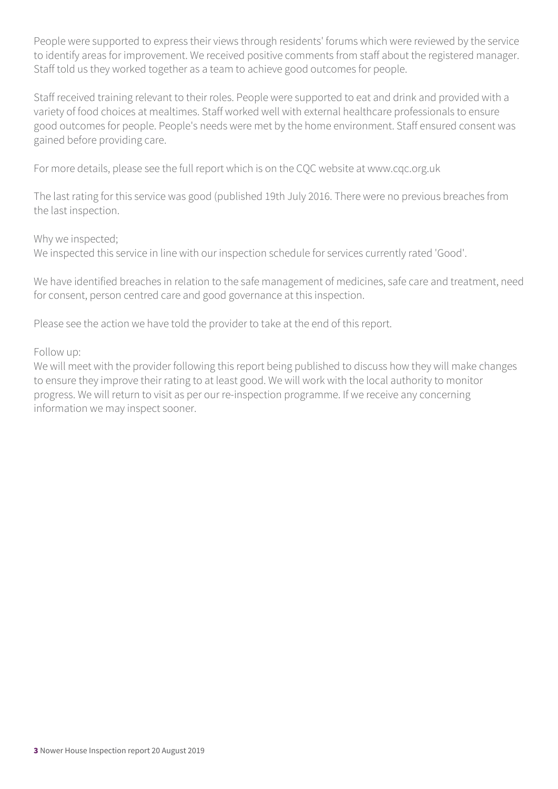People were supported to express their views through residents' forums which were reviewed by the service to identify areas for improvement. We received positive comments from staff about the registered manager. Staff told us they worked together as a team to achieve good outcomes for people.

Staff received training relevant to their roles. People were supported to eat and drink and provided with a variety of food choices at mealtimes. Staff worked well with external healthcare professionals to ensure good outcomes for people. People's needs were met by the home environment. Staff ensured consent was gained before providing care.

For more details, please see the full report which is on the CQC website at www.cqc.org.uk

The last rating for this service was good (published 19th July 2016. There were no previous breaches from the last inspection.

Why we inspected;

We inspected this service in line with our inspection schedule for services currently rated 'Good'.

We have identified breaches in relation to the safe management of medicines, safe care and treatment, need for consent, person centred care and good governance at this inspection.

Please see the action we have told the provider to take at the end of this report.

Follow up:

We will meet with the provider following this report being published to discuss how they will make changes to ensure they improve their rating to at least good. We will work with the local authority to monitor progress. We will return to visit as per our re-inspection programme. If we receive any concerning information we may inspect sooner.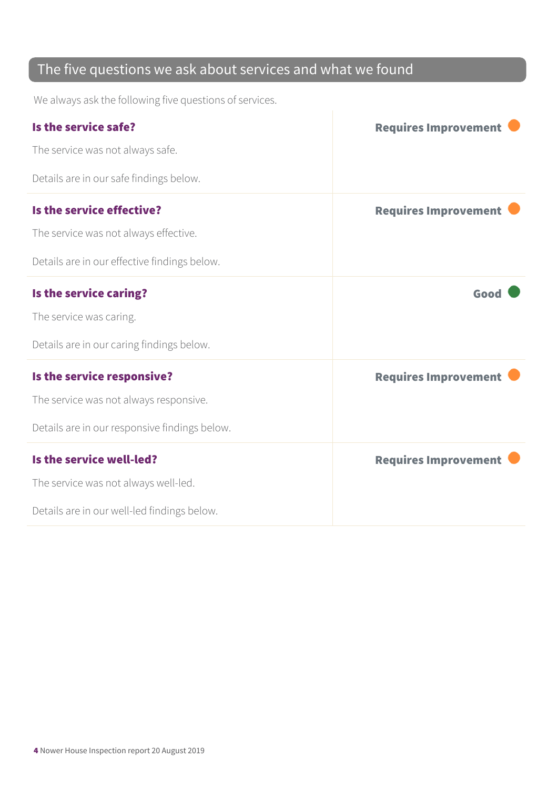#### The five questions we ask about services and what we found

We always ask the following five questions of services.

| Is the service safe?                          | <b>Requires Improvement</b> |
|-----------------------------------------------|-----------------------------|
| The service was not always safe.              |                             |
| Details are in our safe findings below.       |                             |
| Is the service effective?                     | <b>Requires Improvement</b> |
| The service was not always effective.         |                             |
| Details are in our effective findings below.  |                             |
| Is the service caring?                        | Good                        |
| The service was caring.                       |                             |
| Details are in our caring findings below.     |                             |
| Is the service responsive?                    | <b>Requires Improvement</b> |
| The service was not always responsive.        |                             |
| Details are in our responsive findings below. |                             |
| Is the service well-led?                      | <b>Requires Improvement</b> |
| The service was not always well-led.          |                             |
| Details are in our well-led findings below.   |                             |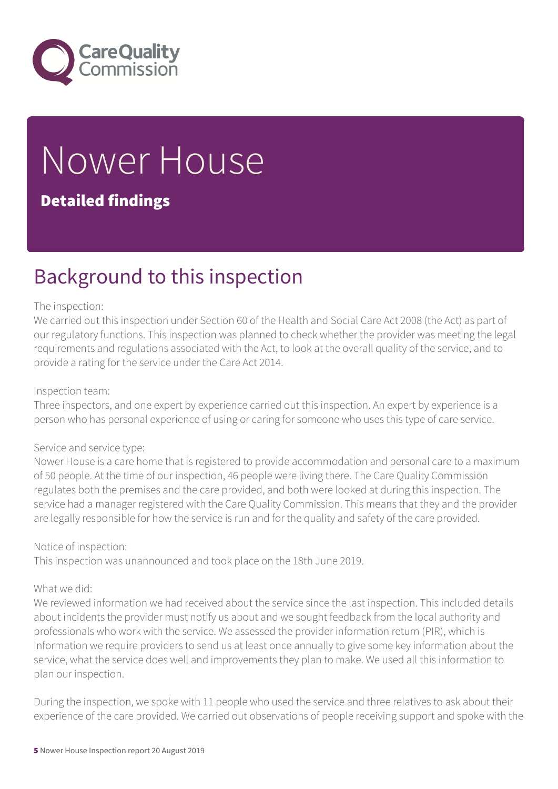

# Nower House

#### Detailed findings

### Background to this inspection

#### The inspection:

We carried out this inspection under Section 60 of the Health and Social Care Act 2008 (the Act) as part of our regulatory functions. This inspection was planned to check whether the provider was meeting the legal requirements and regulations associated with the Act, to look at the overall quality of the service, and to provide a rating for the service under the Care Act 2014.

#### Inspection team:

Three inspectors, and one expert by experience carried out this inspection. An expert by experience is a person who has personal experience of using or caring for someone who uses this type of care service.

#### Service and service type:

Nower House is a care home that is registered to provide accommodation and personal care to a maximum of 50 people. At the time of our inspection, 46 people were living there. The Care Quality Commission regulates both the premises and the care provided, and both were looked at during this inspection. The service had a manager registered with the Care Quality Commission. This means that they and the provider are legally responsible for how the service is run and for the quality and safety of the care provided.

#### Notice of inspection:

This inspection was unannounced and took place on the 18th June 2019.

#### What we did:

We reviewed information we had received about the service since the last inspection. This included details about incidents the provider must notify us about and we sought feedback from the local authority and professionals who work with the service. We assessed the provider information return (PIR), which is information we require providers to send us at least once annually to give some key information about the service, what the service does well and improvements they plan to make. We used all this information to plan our inspection.

During the inspection, we spoke with 11 people who used the service and three relatives to ask about their experience of the care provided. We carried out observations of people receiving support and spoke with the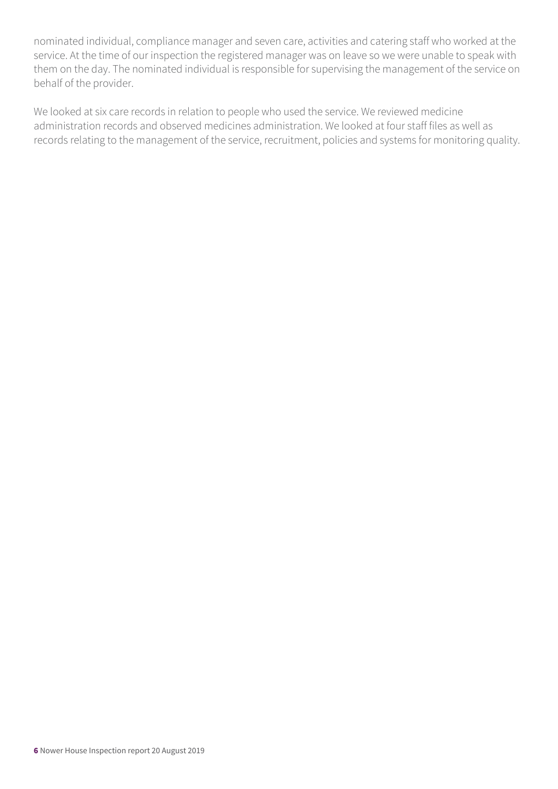nominated individual, compliance manager and seven care, activities and catering staff who worked at the service. At the time of our inspection the registered manager was on leave so we were unable to speak with them on the day. The nominated individual is responsible for supervising the management of the service on behalf of the provider.

We looked at six care records in relation to people who used the service. We reviewed medicine administration records and observed medicines administration. We looked at four staff files as well as records relating to the management of the service, recruitment, policies and systems for monitoring quality.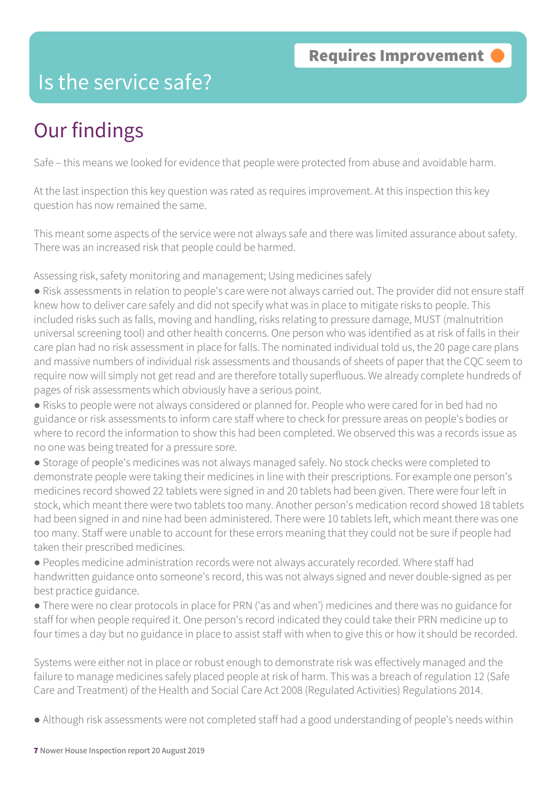### Is the service safe?

### Our findings

Safe – this means we looked for evidence that people were protected from abuse and avoidable harm.

At the last inspection this key question was rated as requires improvement. At this inspection this key question has now remained the same.

This meant some aspects of the service were not always safe and there was limited assurance about safety. There was an increased risk that people could be harmed.

Assessing risk, safety monitoring and management; Using medicines safely

● Risk assessments in relation to people's care were not always carried out. The provider did not ensure staff knew how to deliver care safely and did not specify what was in place to mitigate risks to people. This included risks such as falls, moving and handling, risks relating to pressure damage, MUST (malnutrition universal screening tool) and other health concerns. One person who was identified as at risk of falls in their care plan had no risk assessment in place for falls. The nominated individual told us, the 20 page care plans and massive numbers of individual risk assessments and thousands of sheets of paper that the CQC seem to require now will simply not get read and are therefore totally superfluous. We already complete hundreds of pages of risk assessments which obviously have a serious point.

● Risks to people were not always considered or planned for. People who were cared for in bed had no guidance or risk assessments to inform care staff where to check for pressure areas on people's bodies or where to record the information to show this had been completed. We observed this was a records issue as no one was being treated for a pressure sore.

● Storage of people's medicines was not always managed safely. No stock checks were completed to demonstrate people were taking their medicines in line with their prescriptions. For example one person's medicines record showed 22 tablets were signed in and 20 tablets had been given. There were four left in stock, which meant there were two tablets too many. Another person's medication record showed 18 tablets had been signed in and nine had been administered. There were 10 tablets left, which meant there was one too many. Staff were unable to account for these errors meaning that they could not be sure if people had taken their prescribed medicines.

● Peoples medicine administration records were not always accurately recorded. Where staff had handwritten guidance onto someone's record, this was not always signed and never double-signed as per best practice guidance.

● There were no clear protocols in place for PRN ('as and when') medicines and there was no guidance for staff for when people required it. One person's record indicated they could take their PRN medicine up to four times a day but no guidance in place to assist staff with when to give this or how it should be recorded.

Systems were either not in place or robust enough to demonstrate risk was effectively managed and the failure to manage medicines safely placed people at risk of harm. This was a breach of regulation 12 (Safe Care and Treatment) of the Health and Social Care Act 2008 (Regulated Activities) Regulations 2014.

● Although risk assessments were not completed staff had a good understanding of people's needs within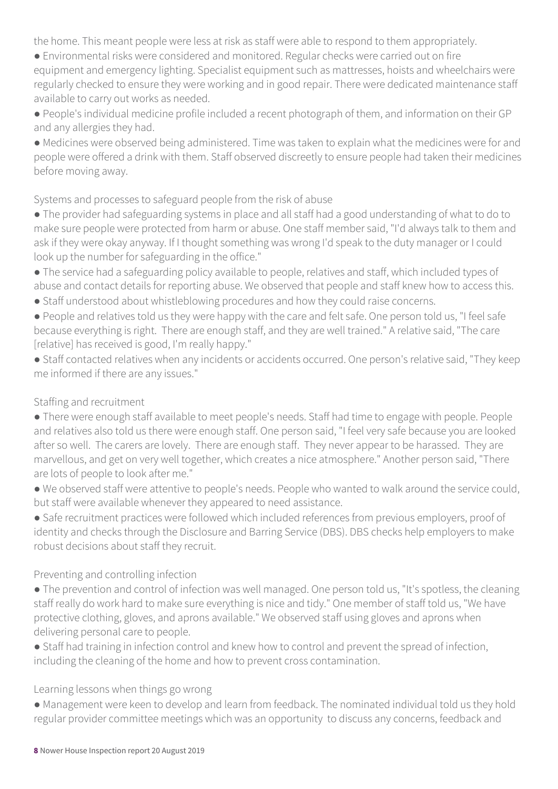the home. This meant people were less at risk as staff were able to respond to them appropriately.

● Environmental risks were considered and monitored. Regular checks were carried out on fire equipment and emergency lighting. Specialist equipment such as mattresses, hoists and wheelchairs were regularly checked to ensure they were working and in good repair. There were dedicated maintenance staff available to carry out works as needed.

● People's individual medicine profile included a recent photograph of them, and information on their GP and any allergies they had.

● Medicines were observed being administered. Time was taken to explain what the medicines were for and people were offered a drink with them. Staff observed discreetly to ensure people had taken their medicines before moving away.

Systems and processes to safeguard people from the risk of abuse

● The provider had safeguarding systems in place and all staff had a good understanding of what to do to make sure people were protected from harm or abuse. One staff member said, "I'd always talk to them and ask if they were okay anyway. If I thought something was wrong I'd speak to the duty manager or I could look up the number for safeguarding in the office."

● The service had a safeguarding policy available to people, relatives and staff, which included types of abuse and contact details for reporting abuse. We observed that people and staff knew how to access this.

● Staff understood about whistleblowing procedures and how they could raise concerns.

● People and relatives told us they were happy with the care and felt safe. One person told us, "I feel safe because everything is right. There are enough staff, and they are well trained." A relative said, "The care [relative] has received is good, I'm really happy."

● Staff contacted relatives when any incidents or accidents occurred. One person's relative said, "They keep me informed if there are any issues."

#### Staffing and recruitment

● There were enough staff available to meet people's needs. Staff had time to engage with people. People and relatives also told us there were enough staff. One person said, "I feel very safe because you are looked after so well. The carers are lovely. There are enough staff. They never appear to be harassed. They are marvellous, and get on very well together, which creates a nice atmosphere." Another person said, "There are lots of people to look after me."

● We observed staff were attentive to people's needs. People who wanted to walk around the service could, but staff were available whenever they appeared to need assistance.

● Safe recruitment practices were followed which included references from previous employers, proof of identity and checks through the Disclosure and Barring Service (DBS). DBS checks help employers to make robust decisions about staff they recruit.

#### Preventing and controlling infection

● The prevention and control of infection was well managed. One person told us, "It's spotless, the cleaning staff really do work hard to make sure everything is nice and tidy." One member of staff told us, "We have protective clothing, gloves, and aprons available." We observed staff using gloves and aprons when delivering personal care to people.

• Staff had training in infection control and knew how to control and prevent the spread of infection, including the cleaning of the home and how to prevent cross contamination.

#### Learning lessons when things go wrong

● Management were keen to develop and learn from feedback. The nominated individual told us they hold regular provider committee meetings which was an opportunity to discuss any concerns, feedback and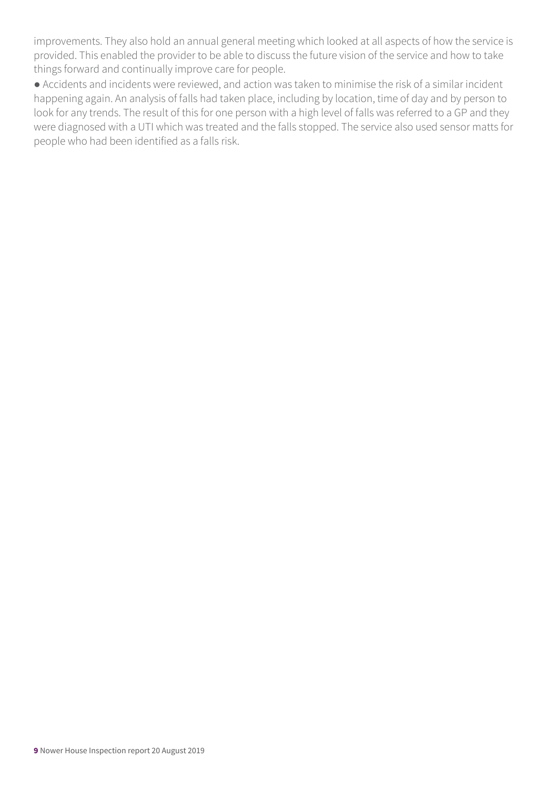improvements. They also hold an annual general meeting which looked at all aspects of how the service is provided. This enabled the provider to be able to discuss the future vision of the service and how to take things forward and continually improve care for people.

● Accidents and incidents were reviewed, and action was taken to minimise the risk of a similar incident happening again. An analysis of falls had taken place, including by location, time of day and by person to look for any trends. The result of this for one person with a high level of falls was referred to a GP and they were diagnosed with a UTI which was treated and the falls stopped. The service also used sensor matts for people who had been identified as a falls risk.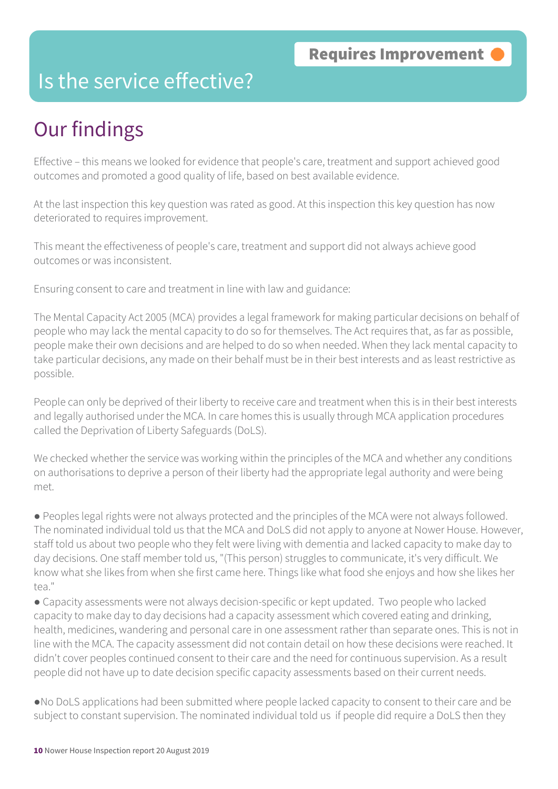### Is the service effective?

### Our findings

Effective – this means we looked for evidence that people's care, treatment and support achieved good outcomes and promoted a good quality of life, based on best available evidence.

At the last inspection this key question was rated as good. At this inspection this key question has now deteriorated to requires improvement.

This meant the effectiveness of people's care, treatment and support did not always achieve good outcomes or was inconsistent.

Ensuring consent to care and treatment in line with law and guidance:

The Mental Capacity Act 2005 (MCA) provides a legal framework for making particular decisions on behalf of people who may lack the mental capacity to do so for themselves. The Act requires that, as far as possible, people make their own decisions and are helped to do so when needed. When they lack mental capacity to take particular decisions, any made on their behalf must be in their best interests and as least restrictive as possible.

People can only be deprived of their liberty to receive care and treatment when this is in their best interests and legally authorised under the MCA. In care homes this is usually through MCA application procedures called the Deprivation of Liberty Safeguards (DoLS).

We checked whether the service was working within the principles of the MCA and whether any conditions on authorisations to deprive a person of their liberty had the appropriate legal authority and were being met.

● Peoples legal rights were not always protected and the principles of the MCA were not always followed. The nominated individual told us that the MCA and DoLS did not apply to anyone at Nower House. However, staff told us about two people who they felt were living with dementia and lacked capacity to make day to day decisions. One staff member told us, "(This person) struggles to communicate, it's very difficult. We know what she likes from when she first came here. Things like what food she enjoys and how she likes her tea."

● Capacity assessments were not always decision-specific or kept updated. Two people who lacked capacity to make day to day decisions had a capacity assessment which covered eating and drinking, health, medicines, wandering and personal care in one assessment rather than separate ones. This is not in line with the MCA. The capacity assessment did not contain detail on how these decisions were reached. It didn't cover peoples continued consent to their care and the need for continuous supervision. As a result people did not have up to date decision specific capacity assessments based on their current needs.

●No DoLS applications had been submitted where people lacked capacity to consent to their care and be subject to constant supervision. The nominated individual told us if people did require a DoLS then they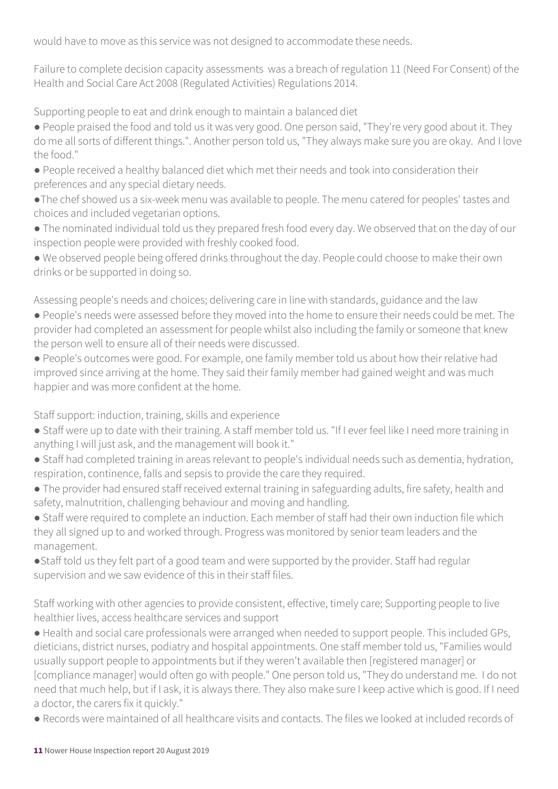would have to move as this service was not designed to accommodate these needs.

Failure to complete decision capacity assessments was a breach of regulation 11 (Need For Consent) of the Health and Social Care Act 2008 (Regulated Activities) Regulations 2014.

Supporting people to eat and drink enough to maintain a balanced diet

● People praised the food and told us it was very good. One person said, "They're very good about it. They do me all sorts of different things.". Another person told us, "They always make sure you are okay. And I love the food."

● People received a healthy balanced diet which met their needs and took into consideration their preferences and any special dietary needs.

●The chef showed us a six-week menu was available to people. The menu catered for peoples' tastes and choices and included vegetarian options.

● The nominated individual told us they prepared fresh food every day. We observed that on the day of our inspection people were provided with freshly cooked food.

● We observed people being offered drinks throughout the day. People could choose to make their own drinks or be supported in doing so.

Assessing people's needs and choices; delivering care in line with standards, guidance and the law

● People's needs were assessed before they moved into the home to ensure their needs could be met. The provider had completed an assessment for people whilst also including the family or someone that knew the person well to ensure all of their needs were discussed.

● People's outcomes were good. For example, one family member told us about how their relative had improved since arriving at the home. They said their family member had gained weight and was much happier and was more confident at the home.

Staff support: induction, training, skills and experience

- Staff were up to date with their training. A staff member told us. "If I ever feel like I need more training in anything I will just ask, and the management will book it."
- Staff had completed training in areas relevant to people's individual needs such as dementia, hydration, respiration, continence, falls and sepsis to provide the care they required.
- The provider had ensured staff received external training in safeguarding adults, fire safety, health and safety, malnutrition, challenging behaviour and moving and handling.
- Staff were required to complete an induction. Each member of staff had their own induction file which they all signed up to and worked through. Progress was monitored by senior team leaders and the management.
- ●Staff told us they felt part of a good team and were supported by the provider. Staff had regular supervision and we saw evidence of this in their staff files.

Staff working with other agencies to provide consistent, effective, timely care; Supporting people to live healthier lives, access healthcare services and support

● Health and social care professionals were arranged when needed to support people. This included GPs, dieticians, district nurses, podiatry and hospital appointments. One staff member told us, "Families would usually support people to appointments but if they weren't available then [registered manager] or [compliance manager] would often go with people." One person told us, "They do understand me. I do not need that much help, but if I ask, it is always there. They also make sure I keep active which is good. If I need a doctor, the carers fix it quickly."

● Records were maintained of all healthcare visits and contacts. The files we looked at included records of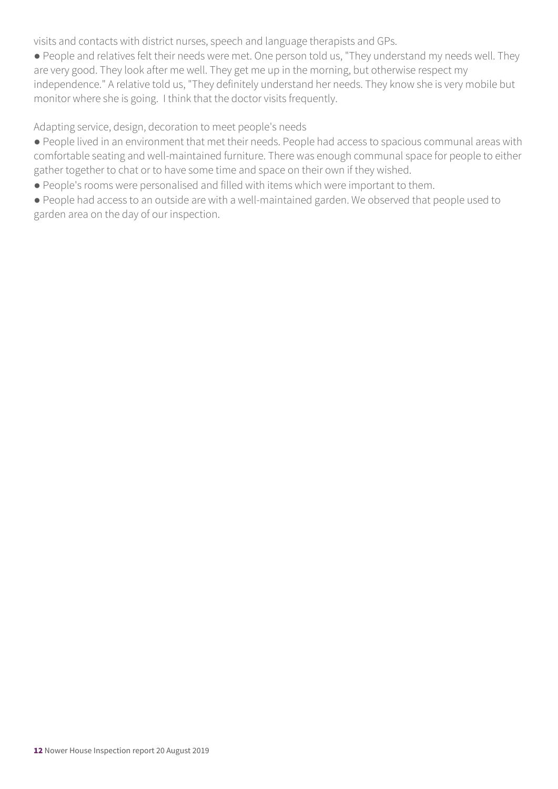visits and contacts with district nurses, speech and language therapists and GPs.

● People and relatives felt their needs were met. One person told us, "They understand my needs well. They are very good. They look after me well. They get me up in the morning, but otherwise respect my independence." A relative told us, "They definitely understand her needs. They know she is very mobile but monitor where she is going. I think that the doctor visits frequently.

Adapting service, design, decoration to meet people's needs

● People lived in an environment that met their needs. People had access to spacious communal areas with comfortable seating and well-maintained furniture. There was enough communal space for people to either gather together to chat or to have some time and space on their own if they wished.

● People's rooms were personalised and filled with items which were important to them.

● People had access to an outside are with a well-maintained garden. We observed that people used to garden area on the day of our inspection.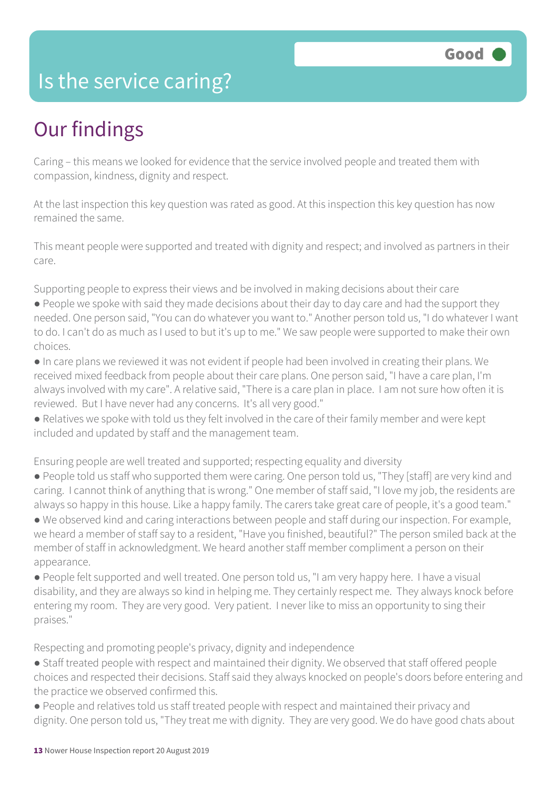### Is the service caring?

### Our findings

Caring – this means we looked for evidence that the service involved people and treated them with compassion, kindness, dignity and respect.

At the last inspection this key question was rated as good. At this inspection this key question has now remained the same.

This meant people were supported and treated with dignity and respect; and involved as partners in their care.

Supporting people to express their views and be involved in making decisions about their care

- People we spoke with said they made decisions about their day to day care and had the support they needed. One person said, "You can do whatever you want to." Another person told us, "I do whatever I want to do. I can't do as much as I used to but it's up to me." We saw people were supported to make their own choices.
- In care plans we reviewed it was not evident if people had been involved in creating their plans. We received mixed feedback from people about their care plans. One person said, "I have a care plan, I'm always involved with my care". A relative said, "There is a care plan in place. I am not sure how often it is reviewed. But I have never had any concerns. It's all very good."
- Relatives we spoke with told us they felt involved in the care of their family member and were kept included and updated by staff and the management team.

Ensuring people are well treated and supported; respecting equality and diversity

- People told us staff who supported them were caring. One person told us, "They [staff] are very kind and caring. I cannot think of anything that is wrong." One member of staff said, "I love my job, the residents are always so happy in this house. Like a happy family. The carers take great care of people, it's a good team."
- We observed kind and caring interactions between people and staff during our inspection. For example, we heard a member of staff say to a resident, "Have you finished, beautiful?" The person smiled back at the member of staff in acknowledgment. We heard another staff member compliment a person on their appearance.
- People felt supported and well treated. One person told us, "I am very happy here. I have a visual disability, and they are always so kind in helping me. They certainly respect me. They always knock before entering my room. They are very good. Very patient. I never like to miss an opportunity to sing their praises."

Respecting and promoting people's privacy, dignity and independence

- Staff treated people with respect and maintained their dignity. We observed that staff offered people choices and respected their decisions. Staff said they always knocked on people's doors before entering and the practice we observed confirmed this.
- People and relatives told us staff treated people with respect and maintained their privacy and dignity. One person told us, "They treat me with dignity. They are very good. We do have good chats about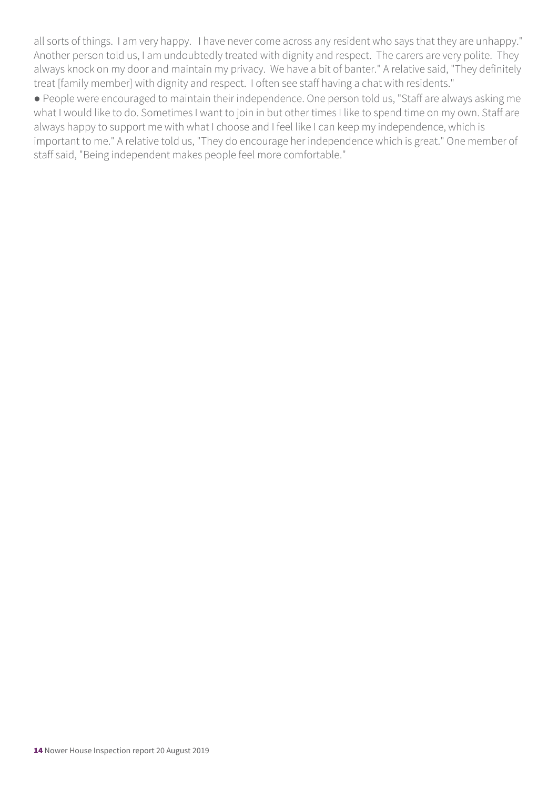all sorts of things. I am very happy. I have never come across any resident who says that they are unhappy." Another person told us, I am undoubtedly treated with dignity and respect. The carers are very polite. They always knock on my door and maintain my privacy. We have a bit of banter." A relative said, "They definitely treat [family member] with dignity and respect. I often see staff having a chat with residents."

● People were encouraged to maintain their independence. One person told us, "Staff are always asking me what I would like to do. Sometimes I want to join in but other times I like to spend time on my own. Staff are always happy to support me with what I choose and I feel like I can keep my independence, which is important to me." A relative told us, "They do encourage her independence which is great." One member of staff said, "Being independent makes people feel more comfortable."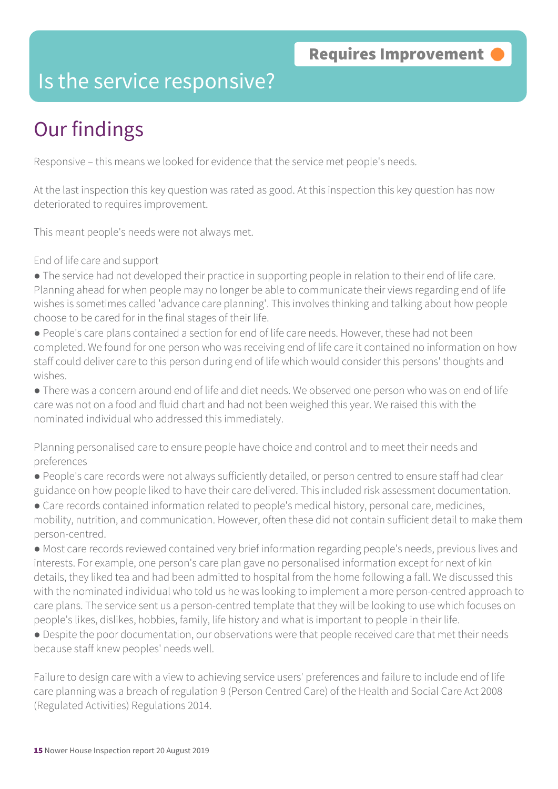### Is the service responsive?

### Our findings

Responsive – this means we looked for evidence that the service met people's needs.

At the last inspection this key question was rated as good. At this inspection this key question has now deteriorated to requires improvement.

This meant people's needs were not always met.

End of life care and support

- The service had not developed their practice in supporting people in relation to their end of life care. Planning ahead for when people may no longer be able to communicate their views regarding end of life wishes is sometimes called 'advance care planning'. This involves thinking and talking about how people choose to be cared for in the final stages of their life.
- People's care plans contained a section for end of life care needs. However, these had not been completed. We found for one person who was receiving end of life care it contained no information on how staff could deliver care to this person during end of life which would consider this persons' thoughts and wishes.
- There was a concern around end of life and diet needs. We observed one person who was on end of life care was not on a food and fluid chart and had not been weighed this year. We raised this with the nominated individual who addressed this immediately.
- Planning personalised care to ensure people have choice and control and to meet their needs and preferences
- People's care records were not always sufficiently detailed, or person centred to ensure staff had clear guidance on how people liked to have their care delivered. This included risk assessment documentation.
- Care records contained information related to people's medical history, personal care, medicines, mobility, nutrition, and communication. However, often these did not contain sufficient detail to make them person-centred.
- Most care records reviewed contained very brief information regarding people's needs, previous lives and interests. For example, one person's care plan gave no personalised information except for next of kin details, they liked tea and had been admitted to hospital from the home following a fall. We discussed this with the nominated individual who told us he was looking to implement a more person-centred approach to care plans. The service sent us a person-centred template that they will be looking to use which focuses on people's likes, dislikes, hobbies, family, life history and what is important to people in their life.
- Despite the poor documentation, our observations were that people received care that met their needs because staff knew peoples' needs well.

Failure to design care with a view to achieving service users' preferences and failure to include end of life care planning was a breach of regulation 9 (Person Centred Care) of the Health and Social Care Act 2008 (Regulated Activities) Regulations 2014.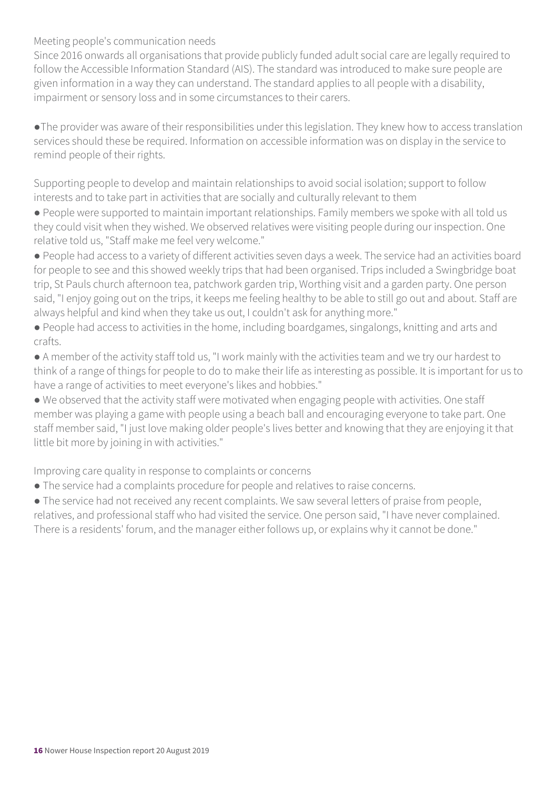#### Meeting people's communication needs

Since 2016 onwards all organisations that provide publicly funded adult social care are legally required to follow the Accessible Information Standard (AIS). The standard was introduced to make sure people are given information in a way they can understand. The standard applies to all people with a disability, impairment or sensory loss and in some circumstances to their carers.

●The provider was aware of their responsibilities under this legislation. They knew how to access translation services should these be required. Information on accessible information was on display in the service to remind people of their rights.

Supporting people to develop and maintain relationships to avoid social isolation; support to follow interests and to take part in activities that are socially and culturally relevant to them

● People were supported to maintain important relationships. Family members we spoke with all told us they could visit when they wished. We observed relatives were visiting people during our inspection. One relative told us, "Staff make me feel very welcome."

● People had access to a variety of different activities seven days a week. The service had an activities board for people to see and this showed weekly trips that had been organised. Trips included a Swingbridge boat trip, St Pauls church afternoon tea, patchwork garden trip, Worthing visit and a garden party. One person said, "I enjoy going out on the trips, it keeps me feeling healthy to be able to still go out and about. Staff are always helpful and kind when they take us out, I couldn't ask for anything more."

● People had access to activities in the home, including boardgames, singalongs, knitting and arts and crafts.

● A member of the activity staff told us, "I work mainly with the activities team and we try our hardest to think of a range of things for people to do to make their life as interesting as possible. It is important for us to have a range of activities to meet everyone's likes and hobbies."

● We observed that the activity staff were motivated when engaging people with activities. One staff member was playing a game with people using a beach ball and encouraging everyone to take part. One staff member said, "I just love making older people's lives better and knowing that they are enjoying it that little bit more by joining in with activities."

Improving care quality in response to complaints or concerns

● The service had a complaints procedure for people and relatives to raise concerns.

● The service had not received any recent complaints. We saw several letters of praise from people, relatives, and professional staff who had visited the service. One person said, "I have never complained. There is a residents' forum, and the manager either follows up, or explains why it cannot be done."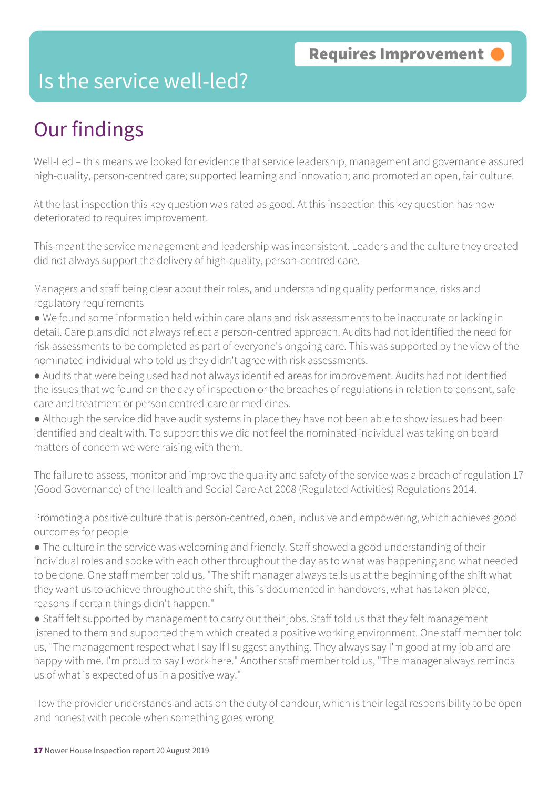### Is the service well-led?

### Our findings

Well-Led – this means we looked for evidence that service leadership, management and governance assured high-quality, person-centred care; supported learning and innovation; and promoted an open, fair culture.

At the last inspection this key question was rated as good. At this inspection this key question has now deteriorated to requires improvement.

This meant the service management and leadership was inconsistent. Leaders and the culture they created did not always support the delivery of high-quality, person-centred care.

Managers and staff being clear about their roles, and understanding quality performance, risks and regulatory requirements

- We found some information held within care plans and risk assessments to be inaccurate or lacking in detail. Care plans did not always reflect a person-centred approach. Audits had not identified the need for risk assessments to be completed as part of everyone's ongoing care. This was supported by the view of the nominated individual who told us they didn't agree with risk assessments.
- Audits that were being used had not always identified areas for improvement. Audits had not identified the issues that we found on the day of inspection or the breaches of regulations in relation to consent, safe care and treatment or person centred-care or medicines.
- Although the service did have audit systems in place they have not been able to show issues had been identified and dealt with. To support this we did not feel the nominated individual was taking on board matters of concern we were raising with them.

The failure to assess, monitor and improve the quality and safety of the service was a breach of regulation 17 (Good Governance) of the Health and Social Care Act 2008 (Regulated Activities) Regulations 2014.

Promoting a positive culture that is person-centred, open, inclusive and empowering, which achieves good outcomes for people

● The culture in the service was welcoming and friendly. Staff showed a good understanding of their individual roles and spoke with each other throughout the day as to what was happening and what needed to be done. One staff member told us, "The shift manager always tells us at the beginning of the shift what they want us to achieve throughout the shift, this is documented in handovers, what has taken place, reasons if certain things didn't happen."

● Staff felt supported by management to carry out their jobs. Staff told us that they felt management listened to them and supported them which created a positive working environment. One staff member told us, "The management respect what I say If I suggest anything. They always say I'm good at my job and are happy with me. I'm proud to say I work here." Another staff member told us, "The manager always reminds us of what is expected of us in a positive way."

How the provider understands and acts on the duty of candour, which is their legal responsibility to be open and honest with people when something goes wrong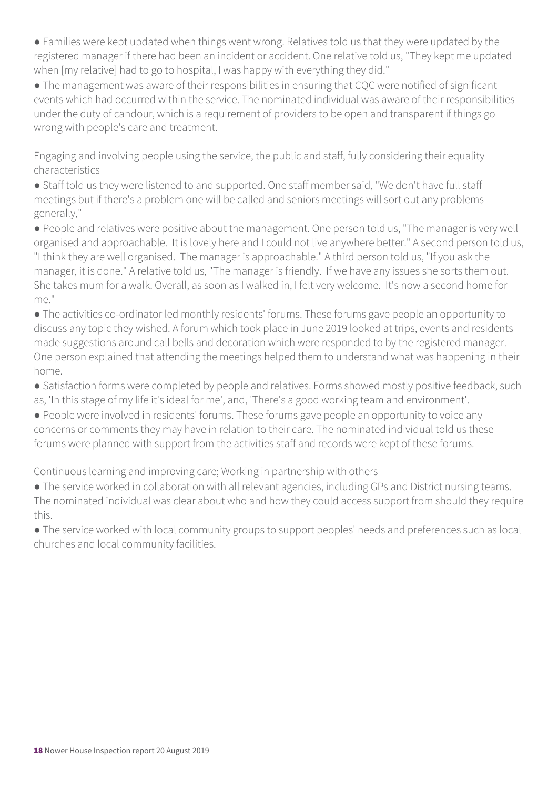● Families were kept updated when things went wrong. Relatives told us that they were updated by the registered manager if there had been an incident or accident. One relative told us, "They kept me updated when [my relative] had to go to hospital, I was happy with everything they did."

● The management was aware of their responsibilities in ensuring that CQC were notified of significant events which had occurred within the service. The nominated individual was aware of their responsibilities under the duty of candour, which is a requirement of providers to be open and transparent if things go wrong with people's care and treatment.

Engaging and involving people using the service, the public and staff, fully considering their equality characteristics

● Staff told us they were listened to and supported. One staff member said, "We don't have full staff meetings but if there's a problem one will be called and seniors meetings will sort out any problems generally,"

● People and relatives were positive about the management. One person told us, "The manager is very well organised and approachable. It is lovely here and I could not live anywhere better." A second person told us, "I think they are well organised. The manager is approachable." A third person told us, "If you ask the manager, it is done." A relative told us, "The manager is friendly. If we have any issues she sorts them out. She takes mum for a walk. Overall, as soon as I walked in, I felt very welcome. It's now a second home for me."

● The activities co-ordinator led monthly residents' forums. These forums gave people an opportunity to discuss any topic they wished. A forum which took place in June 2019 looked at trips, events and residents made suggestions around call bells and decoration which were responded to by the registered manager. One person explained that attending the meetings helped them to understand what was happening in their home.

• Satisfaction forms were completed by people and relatives. Forms showed mostly positive feedback, such as, 'In this stage of my life it's ideal for me', and, 'There's a good working team and environment'.

● People were involved in residents' forums. These forums gave people an opportunity to voice any concerns or comments they may have in relation to their care. The nominated individual told us these forums were planned with support from the activities staff and records were kept of these forums.

Continuous learning and improving care; Working in partnership with others

● The service worked in collaboration with all relevant agencies, including GPs and District nursing teams. The nominated individual was clear about who and how they could access support from should they require this.

● The service worked with local community groups to support peoples' needs and preferences such as local churches and local community facilities.